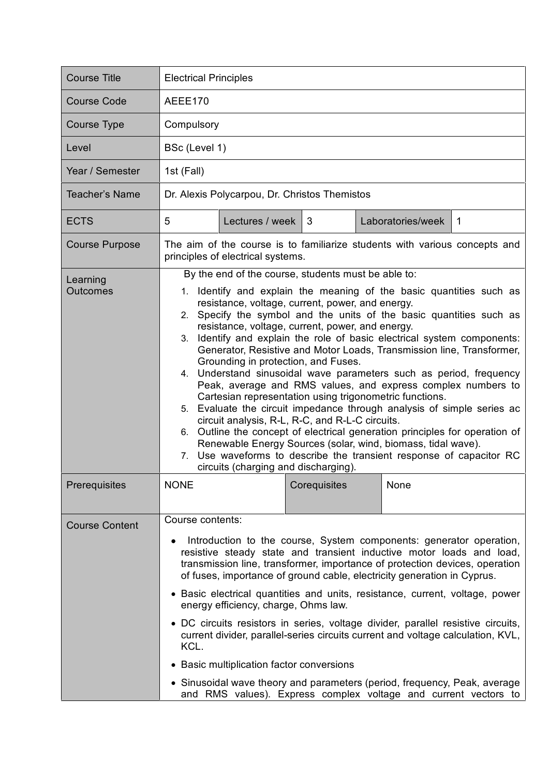| <b>Course Title</b>         | <b>Electrical Principles</b>                                                                                                                                                                                                                                                                                                                                                                                                                                                                                                                                                                                                                                                                                                                                                                                                                                                                                                                                                                                                                                                                              |
|-----------------------------|-----------------------------------------------------------------------------------------------------------------------------------------------------------------------------------------------------------------------------------------------------------------------------------------------------------------------------------------------------------------------------------------------------------------------------------------------------------------------------------------------------------------------------------------------------------------------------------------------------------------------------------------------------------------------------------------------------------------------------------------------------------------------------------------------------------------------------------------------------------------------------------------------------------------------------------------------------------------------------------------------------------------------------------------------------------------------------------------------------------|
| <b>Course Code</b>          | AEEE170                                                                                                                                                                                                                                                                                                                                                                                                                                                                                                                                                                                                                                                                                                                                                                                                                                                                                                                                                                                                                                                                                                   |
| Course Type                 | Compulsory                                                                                                                                                                                                                                                                                                                                                                                                                                                                                                                                                                                                                                                                                                                                                                                                                                                                                                                                                                                                                                                                                                |
| Level                       | BSc (Level 1)                                                                                                                                                                                                                                                                                                                                                                                                                                                                                                                                                                                                                                                                                                                                                                                                                                                                                                                                                                                                                                                                                             |
| Year / Semester             | 1st (Fall)                                                                                                                                                                                                                                                                                                                                                                                                                                                                                                                                                                                                                                                                                                                                                                                                                                                                                                                                                                                                                                                                                                |
| Teacher's Name              | Dr. Alexis Polycarpou, Dr. Christos Themistos                                                                                                                                                                                                                                                                                                                                                                                                                                                                                                                                                                                                                                                                                                                                                                                                                                                                                                                                                                                                                                                             |
| <b>ECTS</b>                 | 5<br>Lectures / week<br>3<br>Laboratories/week<br>$\mathbf 1$                                                                                                                                                                                                                                                                                                                                                                                                                                                                                                                                                                                                                                                                                                                                                                                                                                                                                                                                                                                                                                             |
| <b>Course Purpose</b>       | The aim of the course is to familiarize students with various concepts and<br>principles of electrical systems.                                                                                                                                                                                                                                                                                                                                                                                                                                                                                                                                                                                                                                                                                                                                                                                                                                                                                                                                                                                           |
| Learning<br><b>Outcomes</b> | By the end of the course, students must be able to:<br>1. Identify and explain the meaning of the basic quantities such as<br>resistance, voltage, current, power, and energy.<br>Specify the symbol and the units of the basic quantities such as<br>2.<br>resistance, voltage, current, power, and energy.<br>Identify and explain the role of basic electrical system components:<br>3.<br>Generator, Resistive and Motor Loads, Transmission line, Transformer,<br>Grounding in protection, and Fuses.<br>4. Understand sinusoidal wave parameters such as period, frequency<br>Peak, average and RMS values, and express complex numbers to<br>Cartesian representation using trigonometric functions.<br>5. Evaluate the circuit impedance through analysis of simple series ac<br>circuit analysis, R-L, R-C, and R-L-C circuits.<br>6. Outline the concept of electrical generation principles for operation of<br>Renewable Energy Sources (solar, wind, biomass, tidal wave).<br>Use waveforms to describe the transient response of capacitor RC<br>7.<br>circuits (charging and discharging). |
| Prerequisites               | Corequisites<br><b>NONE</b><br>None                                                                                                                                                                                                                                                                                                                                                                                                                                                                                                                                                                                                                                                                                                                                                                                                                                                                                                                                                                                                                                                                       |
| <b>Course Content</b>       | Course contents:<br>Introduction to the course, System components: generator operation,<br>resistive steady state and transient inductive motor loads and load,<br>transmission line, transformer, importance of protection devices, operation<br>of fuses, importance of ground cable, electricity generation in Cyprus.<br>• Basic electrical quantities and units, resistance, current, voltage, power<br>energy efficiency, charge, Ohms law.<br>• DC circuits resistors in series, voltage divider, parallel resistive circuits,<br>current divider, parallel-series circuits current and voltage calculation, KVL,<br>KCL.<br>• Basic multiplication factor conversions<br>• Sinusoidal wave theory and parameters (period, frequency, Peak, average<br>and RMS values). Express complex voltage and current vectors to                                                                                                                                                                                                                                                                             |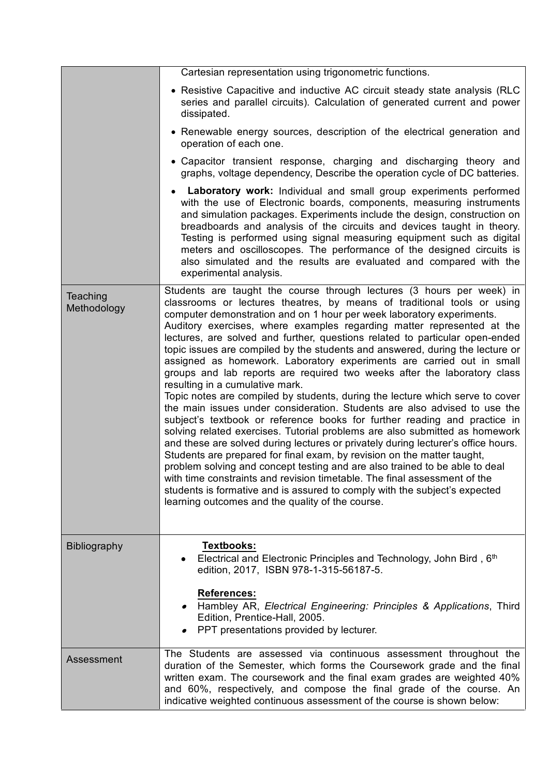|                         | Cartesian representation using trigonometric functions.                                                                                                                                                                                                                                                                                                                                                                                                                                                                                                                                                                                                                                                                                                                                                                                                                                                                                                                                                                                                                                                                                                                                                                                                                                                                                                                                                                                              |
|-------------------------|------------------------------------------------------------------------------------------------------------------------------------------------------------------------------------------------------------------------------------------------------------------------------------------------------------------------------------------------------------------------------------------------------------------------------------------------------------------------------------------------------------------------------------------------------------------------------------------------------------------------------------------------------------------------------------------------------------------------------------------------------------------------------------------------------------------------------------------------------------------------------------------------------------------------------------------------------------------------------------------------------------------------------------------------------------------------------------------------------------------------------------------------------------------------------------------------------------------------------------------------------------------------------------------------------------------------------------------------------------------------------------------------------------------------------------------------------|
|                         | • Resistive Capacitive and inductive AC circuit steady state analysis (RLC<br>series and parallel circuits). Calculation of generated current and power<br>dissipated.                                                                                                                                                                                                                                                                                                                                                                                                                                                                                                                                                                                                                                                                                                                                                                                                                                                                                                                                                                                                                                                                                                                                                                                                                                                                               |
|                         | • Renewable energy sources, description of the electrical generation and<br>operation of each one.                                                                                                                                                                                                                                                                                                                                                                                                                                                                                                                                                                                                                                                                                                                                                                                                                                                                                                                                                                                                                                                                                                                                                                                                                                                                                                                                                   |
|                         | • Capacitor transient response, charging and discharging theory and<br>graphs, voltage dependency, Describe the operation cycle of DC batteries.                                                                                                                                                                                                                                                                                                                                                                                                                                                                                                                                                                                                                                                                                                                                                                                                                                                                                                                                                                                                                                                                                                                                                                                                                                                                                                     |
|                         | Laboratory work: Individual and small group experiments performed<br>with the use of Electronic boards, components, measuring instruments<br>and simulation packages. Experiments include the design, construction on<br>breadboards and analysis of the circuits and devices taught in theory.<br>Testing is performed using signal measuring equipment such as digital<br>meters and oscilloscopes. The performance of the designed circuits is<br>also simulated and the results are evaluated and compared with the<br>experimental analysis.                                                                                                                                                                                                                                                                                                                                                                                                                                                                                                                                                                                                                                                                                                                                                                                                                                                                                                    |
| Teaching<br>Methodology | Students are taught the course through lectures (3 hours per week) in<br>classrooms or lectures theatres, by means of traditional tools or using<br>computer demonstration and on 1 hour per week laboratory experiments.<br>Auditory exercises, where examples regarding matter represented at the<br>lectures, are solved and further, questions related to particular open-ended<br>topic issues are compiled by the students and answered, during the lecture or<br>assigned as homework. Laboratory experiments are carried out in small<br>groups and lab reports are required two weeks after the laboratory class<br>resulting in a cumulative mark.<br>Topic notes are compiled by students, during the lecture which serve to cover<br>the main issues under consideration. Students are also advised to use the<br>subject's textbook or reference books for further reading and practice in<br>solving related exercises. Tutorial problems are also submitted as homework<br>and these are solved during lectures or privately during lecturer's office hours.<br>Students are prepared for final exam, by revision on the matter taught,<br>problem solving and concept testing and are also trained to be able to deal<br>with time constraints and revision timetable. The final assessment of the<br>students is formative and is assured to comply with the subject's expected<br>learning outcomes and the quality of the course. |
| <b>Bibliography</b>     | <b>Textbooks:</b><br>Electrical and Electronic Principles and Technology, John Bird, 6th<br>edition, 2017, ISBN 978-1-315-56187-5.                                                                                                                                                                                                                                                                                                                                                                                                                                                                                                                                                                                                                                                                                                                                                                                                                                                                                                                                                                                                                                                                                                                                                                                                                                                                                                                   |
|                         | <b>References:</b><br>Hambley AR, Electrical Engineering: Principles & Applications, Third<br>Edition, Prentice-Hall, 2005.<br>PPT presentations provided by lecturer.                                                                                                                                                                                                                                                                                                                                                                                                                                                                                                                                                                                                                                                                                                                                                                                                                                                                                                                                                                                                                                                                                                                                                                                                                                                                               |
| Assessment              | The Students are assessed via continuous assessment throughout the<br>duration of the Semester, which forms the Coursework grade and the final<br>written exam. The coursework and the final exam grades are weighted 40%<br>and 60%, respectively, and compose the final grade of the course. An<br>indicative weighted continuous assessment of the course is shown below:                                                                                                                                                                                                                                                                                                                                                                                                                                                                                                                                                                                                                                                                                                                                                                                                                                                                                                                                                                                                                                                                         |